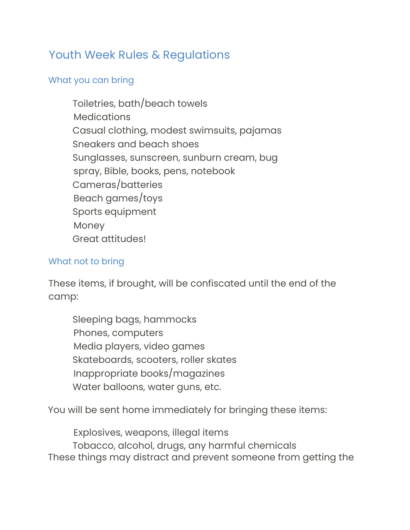## Youth Week Rules & Regulations

## What you can bring

Toiletries, bath/beach towels **Medications** Casual clothing, modest swimsuits, pajamas Sneakers and beach shoes Sunglasses, sunscreen, sunburn cream, bug spray, Bible, books, pens, notebook Cameras/batteries Beach games/toys Sports equipment Money Great attitudes!

## What not to bring

These items, if brought, will be confiscated until the end of the camp:

Sleeping bags, hammocks Phones, computers Media players, video games Skateboards, scooters, roller skates Inappropriate books/magazines Water balloons, water guns, etc.

You will be sent home immediately for bringing these items:

Explosives, weapons, illegal items Tobacco, alcohol, drugs, any harmful chemicals These things may distract and prevent someone from getting the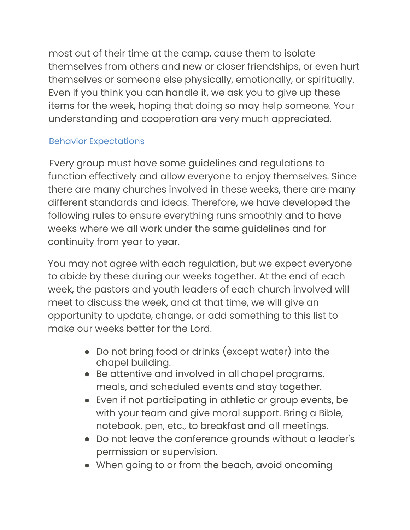most out of their time at the camp, cause them to isolate themselves from others and new or closer friendships, or even hurt themselves or someone else physically, emotionally, or spiritually. Even if you think you can handle it, we ask you to give up these items for the week, hoping that doing so may help someone. Your understanding and cooperation are very much appreciated.

## Behavior Expectations

Every group must have some guidelines and regulations to function effectively and allow everyone to enjoy themselves. Since there are many churches involved in these weeks, there are many different standards and ideas. Therefore, we have developed the following rules to ensure everything runs smoothly and to have weeks where we all work under the same guidelines and for continuity from year to year.

You may not agree with each regulation, but we expect everyone to abide by these during our weeks together. At the end of each week, the pastors and youth leaders of each church involved will meet to discuss the week, and at that time, we will give an opportunity to update, change, or add something to this list to make our weeks better for the Lord.

- Do not bring food or drinks (except water) into the chapel building.
- Be attentive and involved in all chapel programs, meals, and scheduled events and stay together.
- Even if not participating in athletic or group events, be with your team and give moral support. Bring a Bible, notebook, pen, etc., to breakfast and all meetings.
- Do not leave the conference grounds without a leader's permission or supervision.
- When going to or from the beach, avoid oncoming